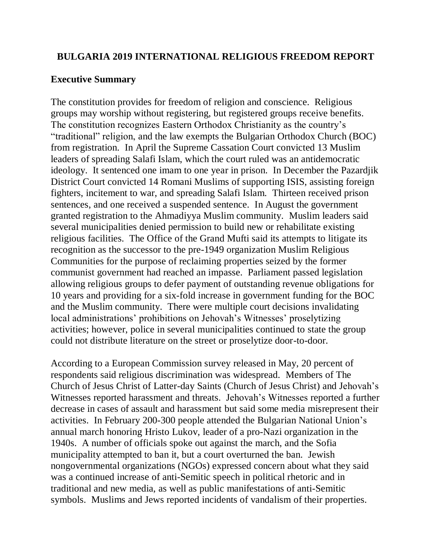## **BULGARIA 2019 INTERNATIONAL RELIGIOUS FREEDOM REPORT**

#### **Executive Summary**

The constitution provides for freedom of religion and conscience. Religious groups may worship without registering, but registered groups receive benefits. The constitution recognizes Eastern Orthodox Christianity as the country's "traditional" religion, and the law exempts the Bulgarian Orthodox Church (BOC) from registration. In April the Supreme Cassation Court convicted 13 Muslim leaders of spreading Salafi Islam, which the court ruled was an antidemocratic ideology. It sentenced one imam to one year in prison. In December the Pazardjik District Court convicted 14 Romani Muslims of supporting ISIS, assisting foreign fighters, incitement to war, and spreading Salafi Islam. Thirteen received prison sentences, and one received a suspended sentence. In August the government granted registration to the Ahmadiyya Muslim community. Muslim leaders said several municipalities denied permission to build new or rehabilitate existing religious facilities. The Office of the Grand Mufti said its attempts to litigate its recognition as the successor to the pre-1949 organization Muslim Religious Communities for the purpose of reclaiming properties seized by the former communist government had reached an impasse. Parliament passed legislation allowing religious groups to defer payment of outstanding revenue obligations for 10 years and providing for a six-fold increase in government funding for the BOC and the Muslim community. There were multiple court decisions invalidating local administrations' prohibitions on Jehovah's Witnesses' proselytizing activities; however, police in several municipalities continued to state the group could not distribute literature on the street or proselytize door-to-door.

According to a European Commission survey released in May, 20 percent of respondents said religious discrimination was widespread. Members of The Church of Jesus Christ of Latter-day Saints (Church of Jesus Christ) and Jehovah's Witnesses reported harassment and threats. Jehovah's Witnesses reported a further decrease in cases of assault and harassment but said some media misrepresent their activities. In February 200-300 people attended the Bulgarian National Union's annual march honoring Hristo Lukov, leader of a pro-Nazi organization in the 1940s. A number of officials spoke out against the march, and the Sofia municipality attempted to ban it, but a court overturned the ban. Jewish nongovernmental organizations (NGOs) expressed concern about what they said was a continued increase of anti-Semitic speech in political rhetoric and in traditional and new media, as well as public manifestations of anti-Semitic symbols. Muslims and Jews reported incidents of vandalism of their properties.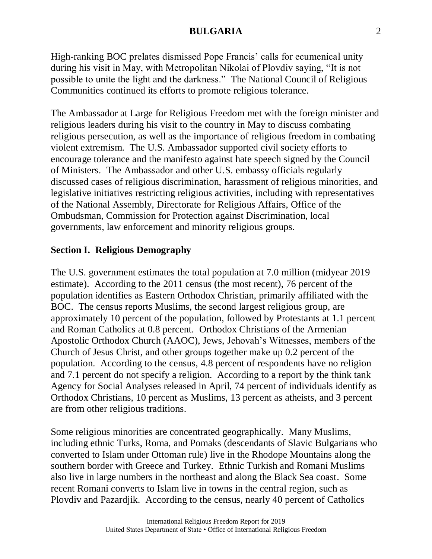High-ranking BOC prelates dismissed Pope Francis' calls for ecumenical unity during his visit in May, with Metropolitan Nikolai of Plovdiv saying, "It is not possible to unite the light and the darkness." The National Council of Religious Communities continued its efforts to promote religious tolerance.

The Ambassador at Large for Religious Freedom met with the foreign minister and religious leaders during his visit to the country in May to discuss combating religious persecution, as well as the importance of religious freedom in combating violent extremism. The U.S. Ambassador supported civil society efforts to encourage tolerance and the manifesto against hate speech signed by the Council of Ministers. The Ambassador and other U.S. embassy officials regularly discussed cases of religious discrimination, harassment of religious minorities, and legislative initiatives restricting religious activities, including with representatives of the National Assembly, Directorate for Religious Affairs, Office of the Ombudsman, Commission for Protection against Discrimination, local governments, law enforcement and minority religious groups.

## **Section I. Religious Demography**

The U.S. government estimates the total population at 7.0 million (midyear 2019 estimate). According to the 2011 census (the most recent), 76 percent of the population identifies as Eastern Orthodox Christian, primarily affiliated with the BOC. The census reports Muslims, the second largest religious group, are approximately 10 percent of the population, followed by Protestants at 1.1 percent and Roman Catholics at 0.8 percent. Orthodox Christians of the Armenian Apostolic Orthodox Church (AAOC), Jews, Jehovah's Witnesses, members of the Church of Jesus Christ, and other groups together make up 0.2 percent of the population. According to the census, 4.8 percent of respondents have no religion and 7.1 percent do not specify a religion. According to a report by the think tank Agency for Social Analyses released in April, 74 percent of individuals identify as Orthodox Christians, 10 percent as Muslims, 13 percent as atheists, and 3 percent are from other religious traditions.

Some religious minorities are concentrated geographically. Many Muslims, including ethnic Turks, Roma, and Pomaks (descendants of Slavic Bulgarians who converted to Islam under Ottoman rule) live in the Rhodope Mountains along the southern border with Greece and Turkey. Ethnic Turkish and Romani Muslims also live in large numbers in the northeast and along the Black Sea coast. Some recent Romani converts to Islam live in towns in the central region, such as Plovdiv and Pazardjik. According to the census, nearly 40 percent of Catholics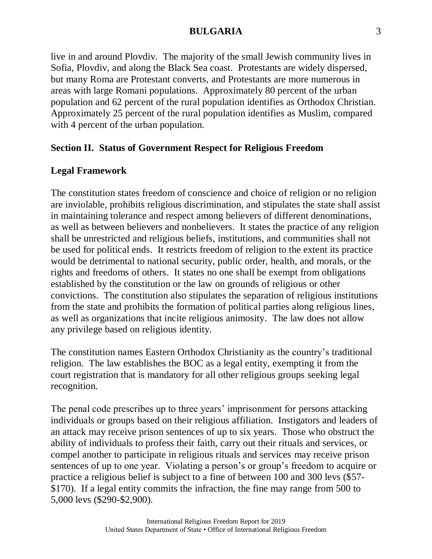live in and around Plovdiv. The majority of the small Jewish community lives in Sofia, Plovdiv, and along the Black Sea coast. Protestants are widely dispersed, but many Roma are Protestant converts, and Protestants are more numerous in areas with large Romani populations. Approximately 80 percent of the urban population and 62 percent of the rural population identifies as Orthodox Christian. Approximately 25 percent of the rural population identifies as Muslim, compared with 4 percent of the urban population.

## **Section II. Status of Government Respect for Religious Freedom**

# **Legal Framework**

The constitution states freedom of conscience and choice of religion or no religion are inviolable, prohibits religious discrimination, and stipulates the state shall assist in maintaining tolerance and respect among believers of different denominations, as well as between believers and nonbelievers. It states the practice of any religion shall be unrestricted and religious beliefs, institutions, and communities shall not be used for political ends. It restricts freedom of religion to the extent its practice would be detrimental to national security, public order, health, and morals, or the rights and freedoms of others. It states no one shall be exempt from obligations established by the constitution or the law on grounds of religious or other convictions. The constitution also stipulates the separation of religious institutions from the state and prohibits the formation of political parties along religious lines, as well as organizations that incite religious animosity. The law does not allow any privilege based on religious identity.

The constitution names Eastern Orthodox Christianity as the country's traditional religion. The law establishes the BOC as a legal entity, exempting it from the court registration that is mandatory for all other religious groups seeking legal recognition.

The penal code prescribes up to three years' imprisonment for persons attacking individuals or groups based on their religious affiliation. Instigators and leaders of an attack may receive prison sentences of up to six years. Those who obstruct the ability of individuals to profess their faith, carry out their rituals and services, or compel another to participate in religious rituals and services may receive prison sentences of up to one year. Violating a person's or group's freedom to acquire or practice a religious belief is subject to a fine of between 100 and 300 levs (\$57- \$170). If a legal entity commits the infraction, the fine may range from 500 to 5,000 levs (\$290-\$2,900).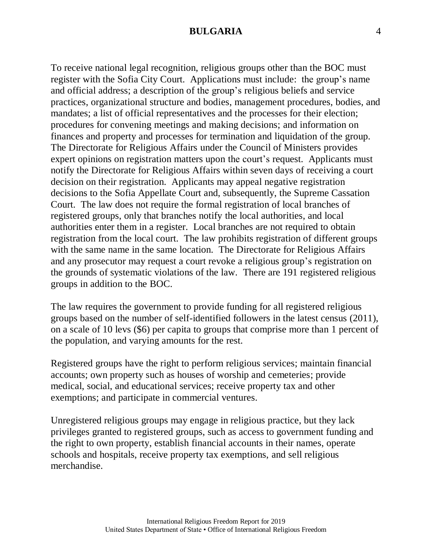To receive national legal recognition, religious groups other than the BOC must register with the Sofia City Court. Applications must include: the group's name and official address; a description of the group's religious beliefs and service practices, organizational structure and bodies, management procedures, bodies, and mandates; a list of official representatives and the processes for their election; procedures for convening meetings and making decisions; and information on finances and property and processes for termination and liquidation of the group. The Directorate for Religious Affairs under the Council of Ministers provides expert opinions on registration matters upon the court's request. Applicants must notify the Directorate for Religious Affairs within seven days of receiving a court decision on their registration. Applicants may appeal negative registration decisions to the Sofia Appellate Court and, subsequently, the Supreme Cassation Court. The law does not require the formal registration of local branches of registered groups, only that branches notify the local authorities, and local authorities enter them in a register. Local branches are not required to obtain registration from the local court. The law prohibits registration of different groups with the same name in the same location. The Directorate for Religious Affairs and any prosecutor may request a court revoke a religious group's registration on the grounds of systematic violations of the law. There are 191 registered religious groups in addition to the BOC.

The law requires the government to provide funding for all registered religious groups based on the number of self-identified followers in the latest census (2011), on a scale of 10 levs (\$6) per capita to groups that comprise more than 1 percent of the population, and varying amounts for the rest.

Registered groups have the right to perform religious services; maintain financial accounts; own property such as houses of worship and cemeteries; provide medical, social, and educational services; receive property tax and other exemptions; and participate in commercial ventures.

Unregistered religious groups may engage in religious practice, but they lack privileges granted to registered groups, such as access to government funding and the right to own property, establish financial accounts in their names, operate schools and hospitals, receive property tax exemptions, and sell religious merchandise.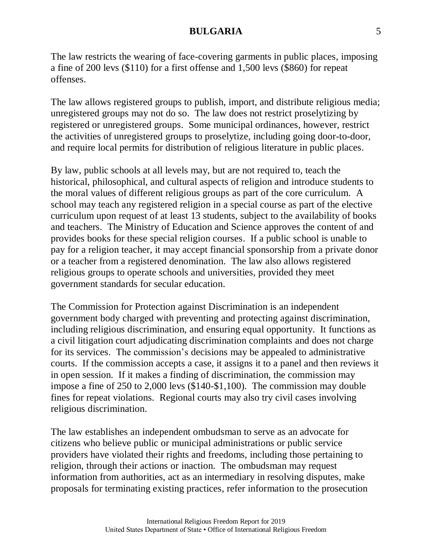The law restricts the wearing of face-covering garments in public places, imposing a fine of 200 levs (\$110) for a first offense and 1,500 levs (\$860) for repeat offenses.

The law allows registered groups to publish, import, and distribute religious media; unregistered groups may not do so. The law does not restrict proselytizing by registered or unregistered groups. Some municipal ordinances, however, restrict the activities of unregistered groups to proselytize, including going door-to-door, and require local permits for distribution of religious literature in public places.

By law, public schools at all levels may, but are not required to, teach the historical, philosophical, and cultural aspects of religion and introduce students to the moral values of different religious groups as part of the core curriculum. A school may teach any registered religion in a special course as part of the elective curriculum upon request of at least 13 students, subject to the availability of books and teachers. The Ministry of Education and Science approves the content of and provides books for these special religion courses. If a public school is unable to pay for a religion teacher, it may accept financial sponsorship from a private donor or a teacher from a registered denomination. The law also allows registered religious groups to operate schools and universities, provided they meet government standards for secular education.

The Commission for Protection against Discrimination is an independent government body charged with preventing and protecting against discrimination, including religious discrimination, and ensuring equal opportunity. It functions as a civil litigation court adjudicating discrimination complaints and does not charge for its services. The commission's decisions may be appealed to administrative courts. If the commission accepts a case, it assigns it to a panel and then reviews it in open session. If it makes a finding of discrimination, the commission may impose a fine of 250 to 2,000 levs (\$140-\$1,100). The commission may double fines for repeat violations. Regional courts may also try civil cases involving religious discrimination.

The law establishes an independent ombudsman to serve as an advocate for citizens who believe public or municipal administrations or public service providers have violated their rights and freedoms, including those pertaining to religion, through their actions or inaction. The ombudsman may request information from authorities, act as an intermediary in resolving disputes, make proposals for terminating existing practices, refer information to the prosecution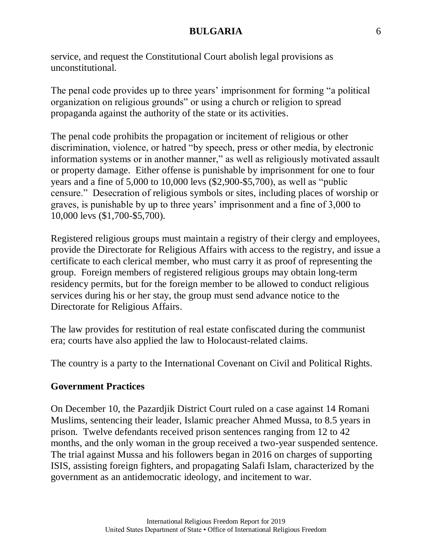service, and request the Constitutional Court abolish legal provisions as unconstitutional.

The penal code provides up to three years' imprisonment for forming "a political organization on religious grounds" or using a church or religion to spread propaganda against the authority of the state or its activities.

The penal code prohibits the propagation or incitement of religious or other discrimination, violence, or hatred "by speech, press or other media, by electronic information systems or in another manner," as well as religiously motivated assault or property damage. Either offense is punishable by imprisonment for one to four years and a fine of 5,000 to 10,000 levs (\$2,900-\$5,700), as well as "public censure." Desecration of religious symbols or sites, including places of worship or graves, is punishable by up to three years' imprisonment and a fine of 3,000 to 10,000 levs (\$1,700-\$5,700).

Registered religious groups must maintain a registry of their clergy and employees, provide the Directorate for Religious Affairs with access to the registry, and issue a certificate to each clerical member, who must carry it as proof of representing the group. Foreign members of registered religious groups may obtain long-term residency permits, but for the foreign member to be allowed to conduct religious services during his or her stay, the group must send advance notice to the Directorate for Religious Affairs.

The law provides for restitution of real estate confiscated during the communist era; courts have also applied the law to Holocaust-related claims.

The country is a party to the International Covenant on Civil and Political Rights.

## **Government Practices**

On December 10, the Pazardjik District Court ruled on a case against 14 Romani Muslims, sentencing their leader, Islamic preacher Ahmed Mussa, to 8.5 years in prison. Twelve defendants received prison sentences ranging from 12 to 42 months, and the only woman in the group received a two-year suspended sentence. The trial against Mussa and his followers began in 2016 on charges of supporting ISIS, assisting foreign fighters, and propagating Salafi Islam, characterized by the government as an antidemocratic ideology, and incitement to war.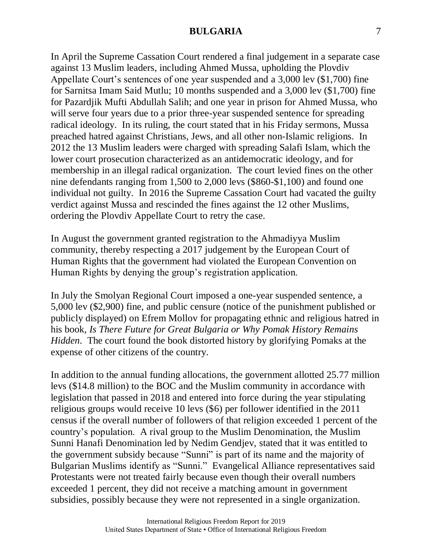In April the Supreme Cassation Court rendered a final judgement in a separate case against 13 Muslim leaders, including Ahmed Mussa, upholding the Plovdiv Appellate Court's sentences of one year suspended and a 3,000 lev (\$1,700) fine for Sarnitsa Imam Said Mutlu; 10 months suspended and a 3,000 lev (\$1,700) fine for Pazardjik Mufti Abdullah Salih; and one year in prison for Ahmed Mussa, who will serve four years due to a prior three-year suspended sentence for spreading radical ideology. In its ruling, the court stated that in his Friday sermons, Mussa preached hatred against Christians, Jews, and all other non-Islamic religions. In 2012 the 13 Muslim leaders were charged with spreading Salafi Islam, which the lower court prosecution characterized as an antidemocratic ideology, and for membership in an illegal radical organization. The court levied fines on the other nine defendants ranging from 1,500 to 2,000 levs (\$860-\$1,100) and found one individual not guilty. In 2016 the Supreme Cassation Court had vacated the guilty verdict against Mussa and rescinded the fines against the 12 other Muslims, ordering the Plovdiv Appellate Court to retry the case.

In August the government granted registration to the Ahmadiyya Muslim community, thereby respecting a 2017 judgement by the European Court of Human Rights that the government had violated the European Convention on Human Rights by denying the group's registration application.

In July the Smolyan Regional Court imposed a one-year suspended sentence, a 5,000 lev (\$2,900) fine, and public censure (notice of the punishment published or publicly displayed) on Efrem Mollov for propagating ethnic and religious hatred in his book, *Is There Future for Great Bulgaria or Why Pomak History Remains Hidden*. The court found the book distorted history by glorifying Pomaks at the expense of other citizens of the country.

In addition to the annual funding allocations, the government allotted 25.77 million levs (\$14.8 million) to the BOC and the Muslim community in accordance with legislation that passed in 2018 and entered into force during the year stipulating religious groups would receive 10 levs (\$6) per follower identified in the 2011 census if the overall number of followers of that religion exceeded 1 percent of the country's population. A rival group to the Muslim Denomination, the Muslim Sunni Hanafi Denomination led by Nedim Gendjev, stated that it was entitled to the government subsidy because "Sunni" is part of its name and the majority of Bulgarian Muslims identify as "Sunni." Evangelical Alliance representatives said Protestants were not treated fairly because even though their overall numbers exceeded 1 percent, they did not receive a matching amount in government subsidies, possibly because they were not represented in a single organization.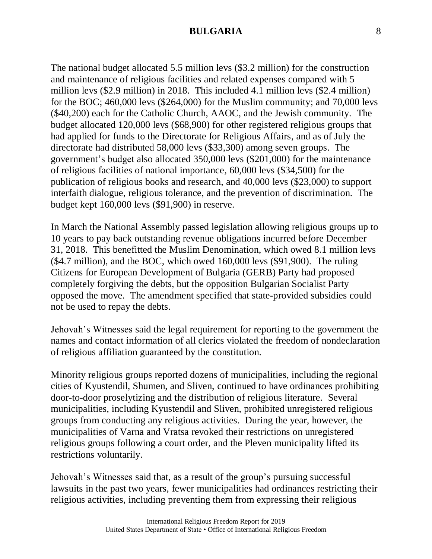The national budget allocated 5.5 million levs (\$3.2 million) for the construction and maintenance of religious facilities and related expenses compared with 5 million levs (\$2.9 million) in 2018. This included 4.1 million levs (\$2.4 million) for the BOC; 460,000 levs (\$264,000) for the Muslim community; and 70,000 levs (\$40,200) each for the Catholic Church, AAOC, and the Jewish community. The budget allocated 120,000 levs (\$68,900) for other registered religious groups that had applied for funds to the Directorate for Religious Affairs, and as of July the directorate had distributed 58,000 levs (\$33,300) among seven groups. The government's budget also allocated 350,000 levs (\$201,000) for the maintenance of religious facilities of national importance, 60,000 levs (\$34,500) for the publication of religious books and research, and 40,000 levs (\$23,000) to support interfaith dialogue, religious tolerance, and the prevention of discrimination. The budget kept 160,000 levs (\$91,900) in reserve.

In March the National Assembly passed legislation allowing religious groups up to 10 years to pay back outstanding revenue obligations incurred before December 31, 2018. This benefitted the Muslim Denomination, which owed 8.1 million levs (\$4.7 million), and the BOC, which owed 160,000 levs (\$91,900). The ruling Citizens for European Development of Bulgaria (GERB) Party had proposed completely forgiving the debts, but the opposition Bulgarian Socialist Party opposed the move. The amendment specified that state-provided subsidies could not be used to repay the debts.

Jehovah's Witnesses said the legal requirement for reporting to the government the names and contact information of all clerics violated the freedom of nondeclaration of religious affiliation guaranteed by the constitution.

Minority religious groups reported dozens of municipalities, including the regional cities of Kyustendil, Shumen, and Sliven, continued to have ordinances prohibiting door-to-door proselytizing and the distribution of religious literature. Several municipalities, including Kyustendil and Sliven, prohibited unregistered religious groups from conducting any religious activities. During the year, however, the municipalities of Varna and Vratsa revoked their restrictions on unregistered religious groups following a court order, and the Pleven municipality lifted its restrictions voluntarily.

Jehovah's Witnesses said that, as a result of the group's pursuing successful lawsuits in the past two years, fewer municipalities had ordinances restricting their religious activities, including preventing them from expressing their religious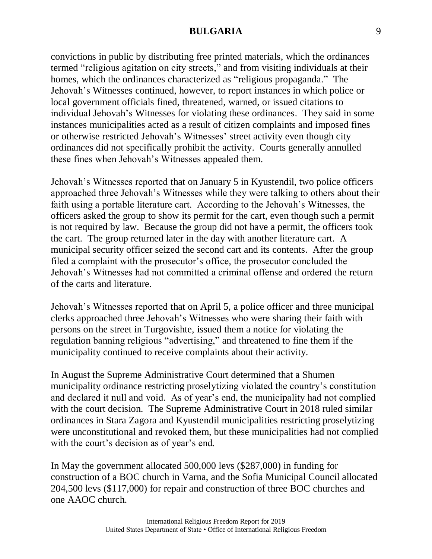convictions in public by distributing free printed materials, which the ordinances termed "religious agitation on city streets," and from visiting individuals at their homes, which the ordinances characterized as "religious propaganda." The Jehovah's Witnesses continued, however, to report instances in which police or local government officials fined, threatened, warned, or issued citations to individual Jehovah's Witnesses for violating these ordinances. They said in some instances municipalities acted as a result of citizen complaints and imposed fines or otherwise restricted Jehovah's Witnesses' street activity even though city ordinances did not specifically prohibit the activity. Courts generally annulled these fines when Jehovah's Witnesses appealed them.

Jehovah's Witnesses reported that on January 5 in Kyustendil, two police officers approached three Jehovah's Witnesses while they were talking to others about their faith using a portable literature cart. According to the Jehovah's Witnesses, the officers asked the group to show its permit for the cart, even though such a permit is not required by law. Because the group did not have a permit, the officers took the cart. The group returned later in the day with another literature cart. A municipal security officer seized the second cart and its contents. After the group filed a complaint with the prosecutor's office, the prosecutor concluded the Jehovah's Witnesses had not committed a criminal offense and ordered the return of the carts and literature.

Jehovah's Witnesses reported that on April 5, a police officer and three municipal clerks approached three Jehovah's Witnesses who were sharing their faith with persons on the street in Turgovishte, issued them a notice for violating the regulation banning religious "advertising," and threatened to fine them if the municipality continued to receive complaints about their activity.

In August the Supreme Administrative Court determined that a Shumen municipality ordinance restricting proselytizing violated the country's constitution and declared it null and void. As of year's end, the municipality had not complied with the court decision. The Supreme Administrative Court in 2018 ruled similar ordinances in Stara Zagora and Kyustendil municipalities restricting proselytizing were unconstitutional and revoked them, but these municipalities had not complied with the court's decision as of year's end.

In May the government allocated 500,000 levs (\$287,000) in funding for construction of a BOC church in Varna, and the Sofia Municipal Council allocated 204,500 levs (\$117,000) for repair and construction of three BOC churches and one AAOC church.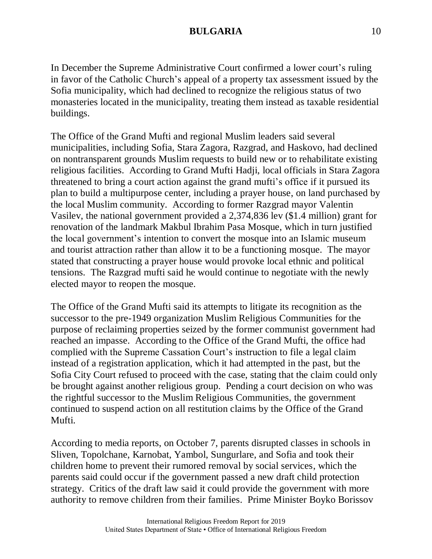In December the Supreme Administrative Court confirmed a lower court's ruling in favor of the Catholic Church's appeal of a property tax assessment issued by the Sofia municipality, which had declined to recognize the religious status of two monasteries located in the municipality, treating them instead as taxable residential buildings.

The Office of the Grand Mufti and regional Muslim leaders said several municipalities, including Sofia, Stara Zagora, Razgrad, and Haskovo, had declined on nontransparent grounds Muslim requests to build new or to rehabilitate existing religious facilities. According to Grand Mufti Hadji, local officials in Stara Zagora threatened to bring a court action against the grand mufti's office if it pursued its plan to build a multipurpose center, including a prayer house, on land purchased by the local Muslim community. According to former Razgrad mayor Valentin Vasilev, the national government provided a 2,374,836 lev (\$1.4 million) grant for renovation of the landmark Makbul Ibrahim Pasa Mosque, which in turn justified the local government's intention to convert the mosque into an Islamic museum and tourist attraction rather than allow it to be a functioning mosque. The mayor stated that constructing a prayer house would provoke local ethnic and political tensions. The Razgrad mufti said he would continue to negotiate with the newly elected mayor to reopen the mosque.

The Office of the Grand Mufti said its attempts to litigate its recognition as the successor to the pre-1949 organization Muslim Religious Communities for the purpose of reclaiming properties seized by the former communist government had reached an impasse. According to the Office of the Grand Mufti, the office had complied with the Supreme Cassation Court's instruction to file a legal claim instead of a registration application, which it had attempted in the past, but the Sofia City Court refused to proceed with the case, stating that the claim could only be brought against another religious group. Pending a court decision on who was the rightful successor to the Muslim Religious Communities, the government continued to suspend action on all restitution claims by the Office of the Grand Mufti.

According to media reports, on October 7, parents disrupted classes in schools in Sliven, Topolchane, Karnobat, Yambol, Sungurlare, and Sofia and took their children home to prevent their rumored removal by social services, which the parents said could occur if the government passed a new draft child protection strategy. Critics of the draft law said it could provide the government with more authority to remove children from their families. Prime Minister Boyko Borissov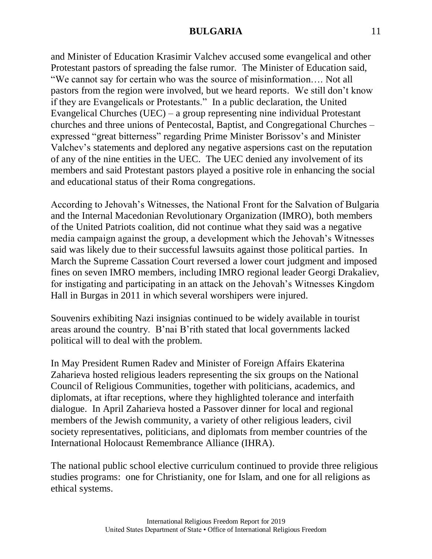and Minister of Education Krasimir Valchev accused some evangelical and other Protestant pastors of spreading the false rumor. The Minister of Education said, "We cannot say for certain who was the source of misinformation…. Not all pastors from the region were involved, but we heard reports. We still don't know if they are Evangelicals or Protestants." In a public declaration, the United Evangelical Churches (UEC) – a group representing nine individual Protestant churches and three unions of Pentecostal, Baptist, and Congregational Churches – expressed "great bitterness" regarding Prime Minister Borissov's and Minister Valchev's statements and deplored any negative aspersions cast on the reputation of any of the nine entities in the UEC. The UEC denied any involvement of its members and said Protestant pastors played a positive role in enhancing the social and educational status of their Roma congregations.

According to Jehovah's Witnesses, the National Front for the Salvation of Bulgaria and the Internal Macedonian Revolutionary Organization (IMRO), both members of the United Patriots coalition, did not continue what they said was a negative media campaign against the group, a development which the Jehovah's Witnesses said was likely due to their successful lawsuits against those political parties. In March the Supreme Cassation Court reversed a lower court judgment and imposed fines on seven IMRO members, including IMRO regional leader Georgi Drakaliev, for instigating and participating in an attack on the Jehovah's Witnesses Kingdom Hall in Burgas in 2011 in which several worshipers were injured.

Souvenirs exhibiting Nazi insignias continued to be widely available in tourist areas around the country. B'nai B'rith stated that local governments lacked political will to deal with the problem.

In May President Rumen Radev and Minister of Foreign Affairs Ekaterina Zaharieva hosted religious leaders representing the six groups on the National Council of Religious Communities, together with politicians, academics, and diplomats, at iftar receptions, where they highlighted tolerance and interfaith dialogue. In April Zaharieva hosted a Passover dinner for local and regional members of the Jewish community, a variety of other religious leaders, civil society representatives, politicians, and diplomats from member countries of the International Holocaust Remembrance Alliance (IHRA).

The national public school elective curriculum continued to provide three religious studies programs: one for Christianity, one for Islam, and one for all religions as ethical systems.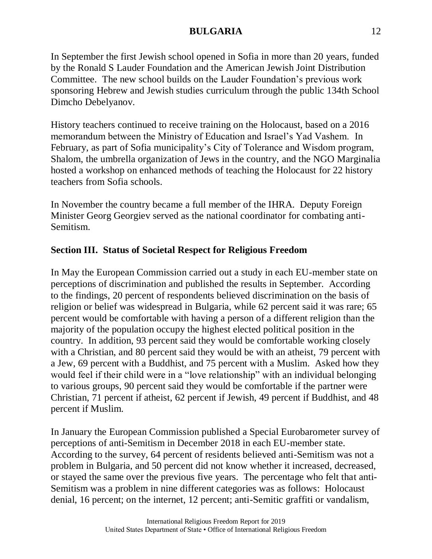In September the first Jewish school opened in Sofia in more than 20 years, funded by the Ronald S Lauder Foundation and the American Jewish Joint Distribution Committee. The new school builds on the Lauder Foundation's previous work sponsoring Hebrew and Jewish studies curriculum through the public 134th School Dimcho Debelyanov.

History teachers continued to receive training on the Holocaust, based on a 2016 memorandum between the Ministry of Education and Israel's Yad Vashem. In February, as part of Sofia municipality's City of Tolerance and Wisdom program, Shalom, the umbrella organization of Jews in the country, and the NGO Marginalia hosted a workshop on enhanced methods of teaching the Holocaust for 22 history teachers from Sofia schools.

In November the country became a full member of the IHRA. Deputy Foreign Minister Georg Georgiev served as the national coordinator for combating anti-Semitism.

# **Section III. Status of Societal Respect for Religious Freedom**

In May the European Commission carried out a study in each EU-member state on perceptions of discrimination and published the results in September. According to the findings, 20 percent of respondents believed discrimination on the basis of religion or belief was widespread in Bulgaria, while 62 percent said it was rare; 65 percent would be comfortable with having a person of a different religion than the majority of the population occupy the highest elected political position in the country. In addition, 93 percent said they would be comfortable working closely with a Christian, and 80 percent said they would be with an atheist, 79 percent with a Jew, 69 percent with a Buddhist, and 75 percent with a Muslim. Asked how they would feel if their child were in a "love relationship" with an individual belonging to various groups, 90 percent said they would be comfortable if the partner were Christian, 71 percent if atheist, 62 percent if Jewish, 49 percent if Buddhist, and 48 percent if Muslim.

In January the European Commission published a Special Eurobarometer survey of perceptions of anti-Semitism in December 2018 in each EU-member state. According to the survey, 64 percent of residents believed anti-Semitism was not a problem in Bulgaria, and 50 percent did not know whether it increased, decreased, or stayed the same over the previous five years. The percentage who felt that anti-Semitism was a problem in nine different categories was as follows: Holocaust denial, 16 percent; on the internet, 12 percent; anti-Semitic graffiti or vandalism,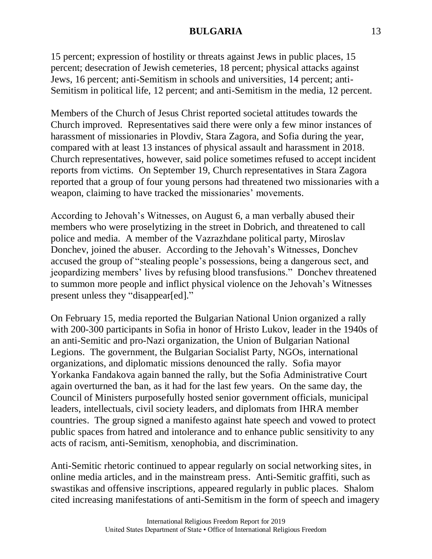15 percent; expression of hostility or threats against Jews in public places, 15 percent; desecration of Jewish cemeteries, 18 percent; physical attacks against Jews, 16 percent; anti-Semitism in schools and universities, 14 percent; anti-Semitism in political life, 12 percent; and anti-Semitism in the media, 12 percent.

Members of the Church of Jesus Christ reported societal attitudes towards the Church improved. Representatives said there were only a few minor instances of harassment of missionaries in Plovdiv, Stara Zagora, and Sofia during the year, compared with at least 13 instances of physical assault and harassment in 2018. Church representatives, however, said police sometimes refused to accept incident reports from victims. On September 19, Church representatives in Stara Zagora reported that a group of four young persons had threatened two missionaries with a weapon, claiming to have tracked the missionaries' movements.

According to Jehovah's Witnesses, on August 6, a man verbally abused their members who were proselytizing in the street in Dobrich, and threatened to call police and media. A member of the Vazrazhdane political party, Miroslav Donchev, joined the abuser. According to the Jehovah's Witnesses, Donchev accused the group of "stealing people's possessions, being a dangerous sect, and jeopardizing members' lives by refusing blood transfusions." Donchev threatened to summon more people and inflict physical violence on the Jehovah's Witnesses present unless they "disappear[ed]."

On February 15, media reported the Bulgarian National Union organized a rally with 200-300 participants in Sofia in honor of Hristo Lukov, leader in the 1940s of an anti-Semitic and pro-Nazi organization, the Union of Bulgarian National Legions. The government, the Bulgarian Socialist Party, NGOs, international organizations, and diplomatic missions denounced the rally. Sofia mayor Yorkanka Fandakova again banned the rally, but the Sofia Administrative Court again overturned the ban, as it had for the last few years. On the same day, the Council of Ministers purposefully hosted senior government officials, municipal leaders, intellectuals, civil society leaders, and diplomats from IHRA member countries. The group signed a manifesto against hate speech and vowed to protect public spaces from hatred and intolerance and to enhance public sensitivity to any acts of racism, anti-Semitism, xenophobia, and discrimination.

Anti-Semitic rhetoric continued to appear regularly on social networking sites, in online media articles, and in the mainstream press. Anti-Semitic graffiti, such as swastikas and offensive inscriptions, appeared regularly in public places. Shalom cited increasing manifestations of anti-Semitism in the form of speech and imagery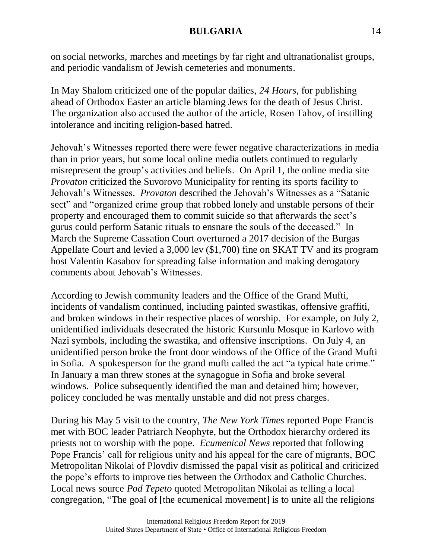on social networks, marches and meetings by far right and ultranationalist groups, and periodic vandalism of Jewish cemeteries and monuments.

In May Shalom criticized one of the popular dailies, *24 Hours,* for publishing ahead of Orthodox Easter an article blaming Jews for the death of Jesus Christ. The organization also accused the author of the article, Rosen Tahov, of instilling intolerance and inciting religion-based hatred.

Jehovah's Witnesses reported there were fewer negative characterizations in media than in prior years, but some local online media outlets continued to regularly misrepresent the group's activities and beliefs. On April 1, the online media site *Provaton* criticized the Suvorovo Municipality for renting its sports facility to Jehovah's Witnesses. *Provaton* described the Jehovah's Witnesses as a "Satanic sect" and "organized crime group that robbed lonely and unstable persons of their property and encouraged them to commit suicide so that afterwards the sect's gurus could perform Satanic rituals to ensnare the souls of the deceased." In March the Supreme Cassation Court overturned a 2017 decision of the Burgas Appellate Court and levied a 3,000 lev (\$1,700) fine on SKAT TV and its program host Valentin Kasabov for spreading false information and making derogatory comments about Jehovah's Witnesses.

According to Jewish community leaders and the Office of the Grand Mufti, incidents of vandalism continued, including painted swastikas, offensive graffiti, and broken windows in their respective places of worship. For example, on July 2, unidentified individuals desecrated the historic Kursunlu Mosque in Karlovo with Nazi symbols, including the swastika, and offensive inscriptions. On July 4, an unidentified person broke the front door windows of the Office of the Grand Mufti in Sofia. A spokesperson for the grand mufti called the act "a typical hate crime." In January a man threw stones at the synagogue in Sofia and broke several windows. Police subsequently identified the man and detained him; however, policey concluded he was mentally unstable and did not press charges.

During his May 5 visit to the country, *The New York Times* reported Pope Francis met with BOC leader Patriarch Neophyte, but the Orthodox hierarchy ordered its priests not to worship with the pope. *Ecumenical News* reported that following Pope Francis' call for religious unity and his appeal for the care of migrants, BOC Metropolitan Nikolai of Plovdiv dismissed the papal visit as political and criticized the pope's efforts to improve ties between the Orthodox and Catholic Churches. Local news source *Pod Tepeto* quoted Metropolitan Nikolai as telling a local congregation, "The goal of [the ecumenical movement] is to unite all the religions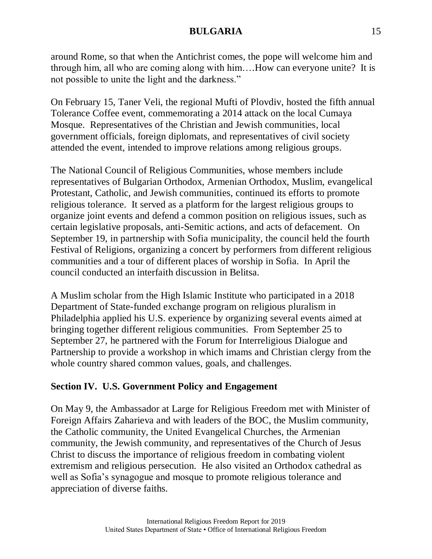around Rome, so that when the Antichrist comes, the pope will welcome him and through him, all who are coming along with him….How can everyone unite? It is not possible to unite the light and the darkness."

On February 15, Taner Veli, the regional Mufti of Plovdiv, hosted the fifth annual Tolerance Coffee event, commemorating a 2014 attack on the local Cumaya Mosque. Representatives of the Christian and Jewish communities, local government officials, foreign diplomats, and representatives of civil society attended the event, intended to improve relations among religious groups.

The National Council of Religious Communities, whose members include representatives of Bulgarian Orthodox, Armenian Orthodox, Muslim, evangelical Protestant, Catholic, and Jewish communities, continued its efforts to promote religious tolerance. It served as a platform for the largest religious groups to organize joint events and defend a common position on religious issues, such as certain legislative proposals, anti-Semitic actions, and acts of defacement. On September 19, in partnership with Sofia municipality, the council held the fourth Festival of Religions, organizing a concert by performers from different religious communities and a tour of different places of worship in Sofia. In April the council conducted an interfaith discussion in Belitsa.

A Muslim scholar from the High Islamic Institute who participated in a 2018 Department of State-funded exchange program on religious pluralism in Philadelphia applied his U.S. experience by organizing several events aimed at bringing together different religious communities. From September 25 to September 27, he partnered with the Forum for Interreligious Dialogue and Partnership to provide a workshop in which imams and Christian clergy from the whole country shared common values, goals, and challenges.

# **Section IV. U.S. Government Policy and Engagement**

On May 9, the Ambassador at Large for Religious Freedom met with Minister of Foreign Affairs Zaharieva and with leaders of the BOC, the Muslim community, the Catholic community, the United Evangelical Churches, the Armenian community, the Jewish community, and representatives of the Church of Jesus Christ to discuss the importance of religious freedom in combating violent extremism and religious persecution. He also visited an Orthodox cathedral as well as Sofia's synagogue and mosque to promote religious tolerance and appreciation of diverse faiths.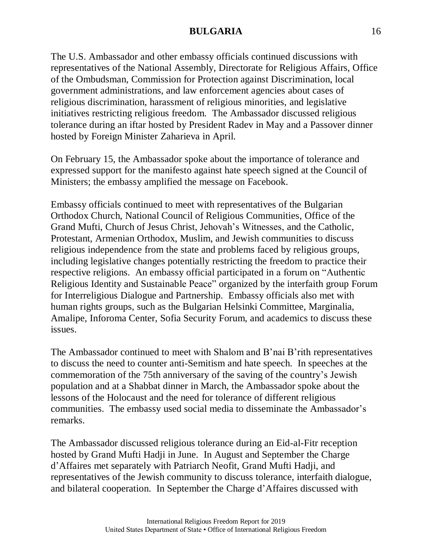The U.S. Ambassador and other embassy officials continued discussions with representatives of the National Assembly, Directorate for Religious Affairs, Office of the Ombudsman, Commission for Protection against Discrimination, local government administrations, and law enforcement agencies about cases of religious discrimination, harassment of religious minorities, and legislative initiatives restricting religious freedom. The Ambassador discussed religious tolerance during an iftar hosted by President Radev in May and a Passover dinner hosted by Foreign Minister Zaharieva in April.

On February 15, the Ambassador spoke about the importance of tolerance and expressed support for the manifesto against hate speech signed at the Council of Ministers; the embassy amplified the message on Facebook.

Embassy officials continued to meet with representatives of the Bulgarian Orthodox Church, National Council of Religious Communities, Office of the Grand Mufti, Church of Jesus Christ, Jehovah's Witnesses, and the Catholic, Protestant, Armenian Orthodox, Muslim, and Jewish communities to discuss religious independence from the state and problems faced by religious groups, including legislative changes potentially restricting the freedom to practice their respective religions. An embassy official participated in a forum on "Authentic Religious Identity and Sustainable Peace" organized by the interfaith group Forum for Interreligious Dialogue and Partnership. Embassy officials also met with human rights groups, such as the Bulgarian Helsinki Committee, Marginalia, Amalipe, Inforoma Center, Sofia Security Forum, and academics to discuss these issues.

The Ambassador continued to meet with Shalom and B'nai B'rith representatives to discuss the need to counter anti-Semitism and hate speech. In speeches at the commemoration of the 75th anniversary of the saving of the country's Jewish population and at a Shabbat dinner in March, the Ambassador spoke about the lessons of the Holocaust and the need for tolerance of different religious communities. The embassy used social media to disseminate the Ambassador's remarks.

The Ambassador discussed religious tolerance during an Eid-al-Fitr reception hosted by Grand Mufti Hadji in June. In August and September the Charge d'Affaires met separately with Patriarch Neofit, Grand Mufti Hadji, and representatives of the Jewish community to discuss tolerance, interfaith dialogue, and bilateral cooperation. In September the Charge d'Affaires discussed with